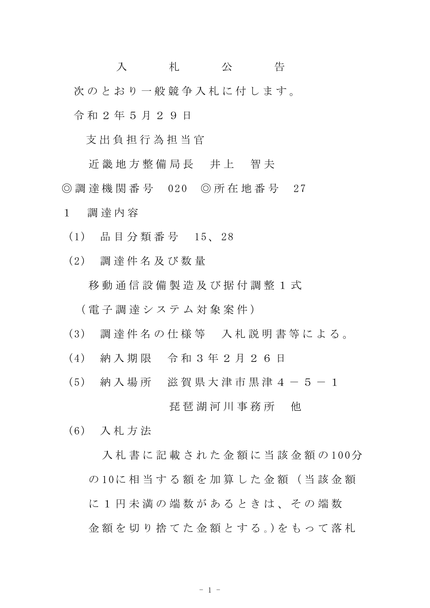入 札 公 告 次のとおり一般競争入札に付します。 令 和 2 年 5 月 2 9 日

支 出 負 担 行 為 担 当 官

近 畿 地 方 整 備 局 長 并 上 智 夫 ◎ 調 達 機 関 番 号 020 ◎ 所 在 地 番 号 27

1 調 達 内 容

- (1) 品 目 分 類 番 号 15、 28
- (2) 調 達 件 名 及 び 数 量

移 動 通 信 設 備 製 造 及 び 据 付 調 整 1 式

( 電 子 調 達 シ ス テ ム 対 象 案 件 )

- (3) 調 達 件 名 の 仕 様 等 入 札 説 明 書 等 に よ る 。
- (4) 納 入 期 限 令 和 3 年 2 月 2 6 日
- (5) 納 入 場 所 滋 賀 県 大 津 市 黒 津 4 5 1

琵 琶 湖 河 川 事 務 所 一 他

(6) 入 札 方 法

入札 書 に 記 載 さ れ た 金 額 に 当 該 金 額 の 100分 の 10に 相 当 す る 額 を 加 算 し た 金 額 ( 当 該 金 額 に 1 円 未 満 の 端 数 が あ る と き は 、 そ の 端 数 金 額 を 切 り 捨 て た 金 額 と す る 。)を も っ て 落 札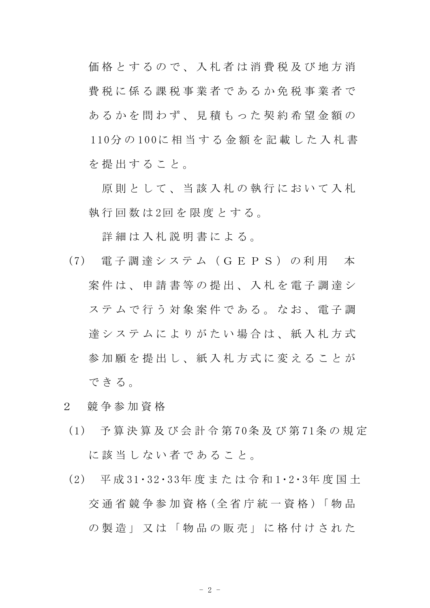価格 と す る の で 、 入 札 者 は 消 費 税 及 び 地 方 消 費 税 に 係 る 課 税 事 業 者 で あ る か 免 税 事 業 者 で あるかを問わず、見積もった契約希望金額の 110分 の 100に 相 当 す る 金 額 を 記 載 し た 入 札 書 を提出すること。

原則として、当該入札の執行において入札 執行回数は2回を限度とする。

詳細は入札説明書による。

- (7) 電 子 調 達 シ ス テ ム ( G E P S ) の 利 用 本 案 件 は 、 申 請 書 等 の 提 出 、 入 札 を 電 子 調 達 シ ステムで行う対象案件である。なお、電子調 達システムによりがたい場合は、紙入札方式 参 加 願 を 提 出 し 、 紙 入 札 方 式 に 変 え る こ と が できる。
- 2 競 争 参 加 資 格
- (1) 予 算 決 算 及 び 会 計 令 第 70条 及 び 第 71条 の 規 定 に該当しない者であること。
- (2) 平 成 31・32・33年 度 ま た は 令 和 1・2・3年 度 国 土 交 通 省 競 争 参 加 資 格 (全 省 庁 統 一 資 格 )「 物 品 の 製 造 」 又 は 「 物 品 の 販 売 」 に 格 付 け さ れ た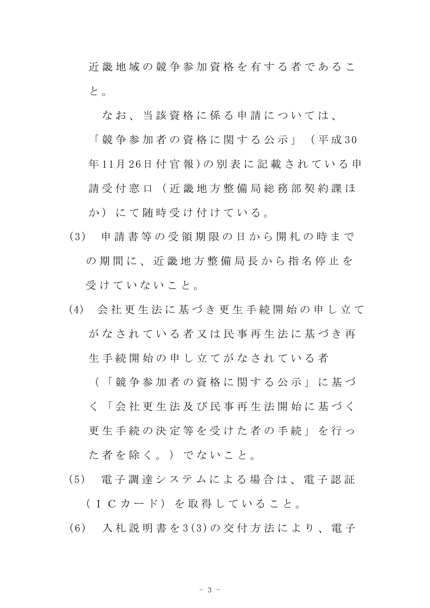近畿地域の競争参加資格を有する者であるこ と 。

なお、当該資格に係る申請については、

「 競 争 参 加 者 の 資 格 に 関 す る 公 示 」 ( 平 成 30 年 11月 26日 付 官 報 )の 別 表 に 記 載 さ れ て い る 申 請 受 付 窓 口 (近 畿 地 方 整 備 局 総 務 部 契 約 課 ほ か)にて随時受け付けている。

- (3) 申 請 書 等 の 受 領 期 限 の 日 か ら 開 札 の 時 ま で の期間に、 近 畿 地 方 整 備 局 長 か ら 指 名 停 止 を 受けていないこと。
- (4) 会 社 更 生 法 に 基 づ き 更 生 手 続 開 始 の 申 し 立 て がなされている者又は民事再生法に基づき再 生 手 続 開 始 の 申 し 立 て が な さ れ て い る 者

( 「 競 争 参 加 者 の 資 格 に 関 す る 公 示 」 に 基 づ く 「 会 社 更 生 法 及 び 民 事 再 生 法 開 始 に 基 づ く 更 生 手 続 の 決 定 等 を 受 け た 者 の 手 続 」 を 行 っ た 者 を 除 く 。 ) で な い こ と 。

- (5) 電 子 調 達 シ ス テ ム に よ る 場 合 は 、 電 子 認 証 (ICカード) を取得していること。
- (6) 入 札 説 明 書 を 3(3)の 交 付 方 法 に よ り 、 電 子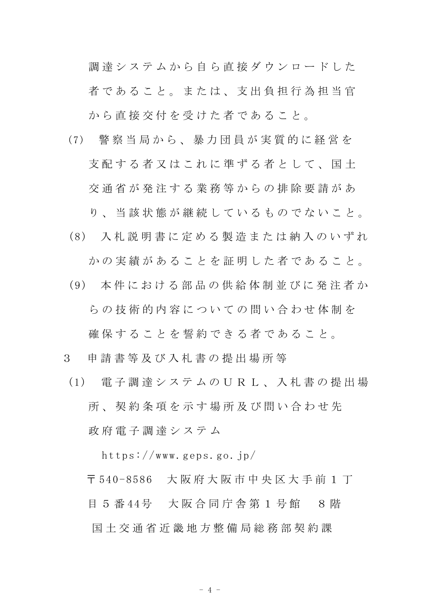調達システムから自ら直接ダウンロードした 者であること。または、支出負担行為担当官 から直接交付を受けた者であること。

(7) 警 察 当 局 か ら 、 暴 力 団 員 が 実 質 的 に 経 営 を 支配する者又はこれに準ずる者として、国土 交 通 省 が 発 注 す る 業 務 等 か ら の 排 除 要 請 が あ

り、 当 該 状 熊 が 継 続 し て い る も の で な い こ と 。

- (8) 入 札 説 明 書 に 定 め る 製 造 ま た は 納 入 の い ず れ かの実績があることを証明した者であること。
- (9) 本 件 に お け る 部 品 の 供 給 体 制 並 び に 発 注 者 か らの技術的内容についての問い合わせ体制を

確保することを誓約できる者であること。

- 3 申 請 書 等 及 び 入 札 書 の 提 出 場 所 等
	- (1) 電 子 調 達 シ ス テ ム の U R L 、 入 札 書 の 提 出 場 所 、 契 約 条 項 を 示 す 場 所 及 び 問 い 合 わ せ 先 政 府 電 子 調 達 シ ス テ ム

https://www.geps.go.jp/

〒 540-8586 大阪府大阪市中央区大手前 1 丁 目 5 番 44号 大阪合同庁舎第 1 号館 8 階 国 土 交 通 省 近 畿 地 方 整 備 局 総 務 部 契 約 課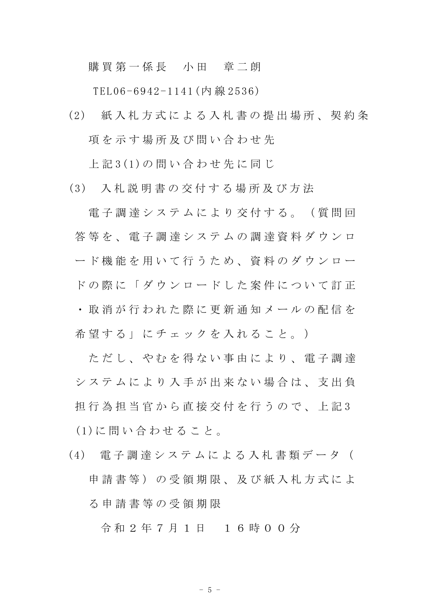購買第一係長 小田 章二朗

TEL06-6942-1141(内 線 2536)

(2) 紙 入 札 方 式 に よ る 入 札 書 の 提 出 場 所 、 契 約 条 項を示す場所及び問い合わせ先

上 記 3(1)の 問 い 合 わ せ 先 に 同 じ

(3) 入 札 説 明 書 の 交 付 す る 場 所 及 び 方 法

電 子 調 達 シ ス テ ム に よ り 交 付 す る 。 (質 問 回 答 等 を 、 電 子 調 達 シ ス テ ム の 調 達 資 料 ダ ウ ン ロ ード機能を用いて行うため、資料のダウンロー ドの際に「ダウンロードした案件について訂正 ・ 取 消 が 行 わ れ た 際 に 更 新 通 知 メ ー ル の 配 信 を 希 望 す る 」 に チ ェ ッ ク を 入 れ る こ と 。 )

ただし、やむを得ない事由により、電子調達 シ ス テ ム に よ り 入 手 が 出 来 な い 場 合 は 、 支 出 負 担 行 為 担 当 官 か ら 直 接 交 付 を 行 う の で 、 上 記 3 (1)に 問 い 合 わ せ る こ と 。

(4) 電 子 調 達 シ ス テ ム に よ る 入 札 書 類 デ ー タ ( 申請書等)の受領期限、及び紙入札方式によ る 申 請 書 等 の 受 領 期 限

令 和 2 年 7 月 1 日 1 6 時 0 0 分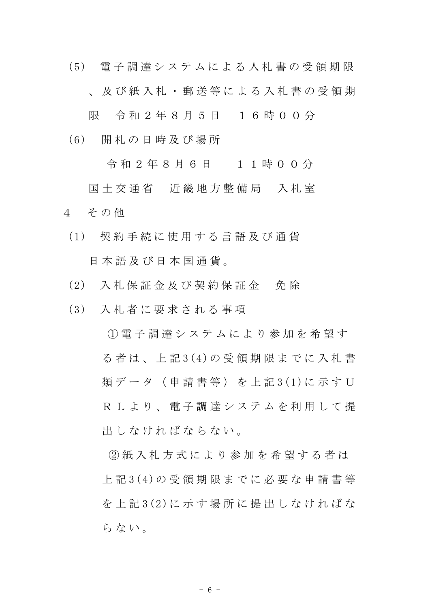(5) 電 子 調 達 シ ス テ ム に よ る 入 札 書 の 受 領 期 限 、 及 び 紙 入 札 ・ 郵 送 等 に よ る 入 札 書 の 受 領 期

限 令和 2 年 8 月 5 日 1 6 時 0 0 分

(6) 開 札 の 日 時 及 び 場 所

令 和 2 年 8 月 6 日 1 1 時 0 0 分

国土交通省 近畿地方整備局 入札室 4 その他

- (1) 契 約 手 続 に 使 用 す る 言 語 及 び 通 貨 日 本 語 及 び 日 本 国 通 貨 。
- (2) 入 札 保 証 金 及 び 契 約 保 証 金 免 除
- (3) 入 札 者 に 要 求 さ れ る 事 項

① 電 子 調 達 シ ス テ ム に よ り 参 加 を 希 望 す る 者 は 、 上 記 3(4)の 受 領 期 限 ま で に 入 札 書 類 デ ー タ ( 申 請 書 等 ) を 上 記 3 (1) に 示 す U R L よ り 、 雷 子 調 達 シ ス テ ム を 利 用 し て 提 出しなければならない。

② 紙 入 札 方 式 に よ り 参 加 を 希 望 す る 者 は 上 記 3(4)の 受 領 期 限 ま で に 必 要 な 申 請 書 等 を 上 記 3(2)に 示 す 場 所 に 提 出 し な け れ ば な らない。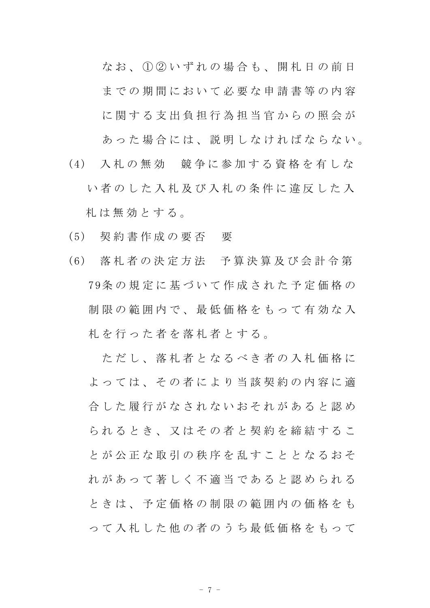なお、1020いずれの場合も、開札日の前日 までの期間において必要な申請書等の内容 に関する支出負担行為担当官からの照会が あった場合には、説明しなければならない。

- (4) 入 札 の 無 効 競 争 に 参 加 す る 資 格 を 有 し な い者のした入札及び入札の条件に違反した入 札 は 無 効 と す る 。
- (5) 契 約 書 作 成 の 要 否 要
- (6) 落 札 者 の 決 定 方 法 予 算 決 算 及 び 会 計 令 第 79条 の 規 定 に 基 づ い て 作 成 さ れ た 予 定 価 格 の 制限の範囲内で、最低価格をもって有効な入 札 を 行 っ た 者 を 落 札 者 と す る 。

ただし、落札者となるべき者の入札価格に よっては、その者により当該契約の内容に適 合 した 履 行 が な さ れ な い お そ れ が あ る と 認 め られるとき、又はその者と契約を締結するこ と が 公 正 な 取 引 の 秩 序 を 乱 す こ と と な る お そ れがあって著しく不適当であると認められる と き は 、 予 定 価 格 の 制 限 の 範 囲 内 の 価 格 を も っ て 入 札 し た 他 の 者 の う ち 最 低 価 格 を も っ て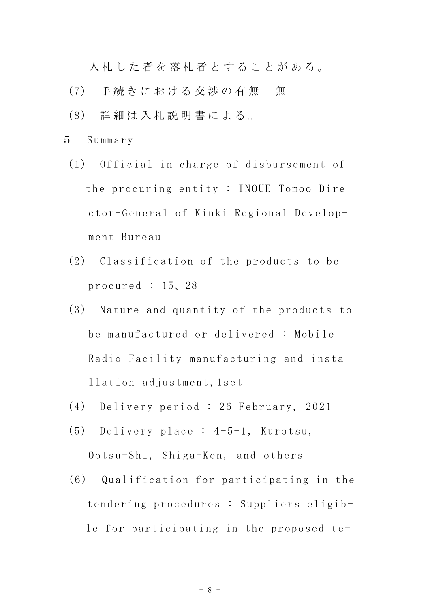入札した者を落札者とすることがある。

- (7) 手続きにおける交渉の有無 無
- (8) 詳 細 は 入 札 説 明 書 に よ る 。
- 5 Summary
- (1) Official in charge of disbursement of the procuring entity : INOUE Tomoo Director-General of Kinki Regional Development Bureau
- (2) Classification of the products to be procured : 15、28
- (3) Nature and quantity of the products to be manufactured or delivered : Mobile Radio Facility manufacturing and installation adjustment,1set
- (4) Delivery period : 26 February, 2021
- (5) Delivery place : 4-5-1, Kurotsu, Ootsu-Shi, Shiga-Ken, and others
- (6) Qualification for participating in the tendering procedures : Suppliers eligible for participating in the proposed te-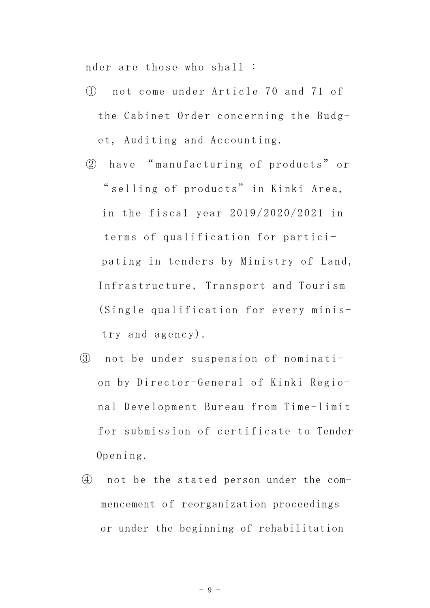nder are those who shall :

- ① not come under Article 70 and 71 of the Cabinet Order concerning the Budget, Auditing and Accounting.
- ② have " manufacturing of products" or " selling of products" in Kinki Area, in the fiscal year 2019/2020/2021 in terms of qualification for participating in tenders by Ministry of Land, Infrastructure, Transport and Tourism (Single qualification for every ministry and agency).
- ③ not be under suspension of nomination by Director-General of Kinki Regional Development Bureau from Time-limit for submission of certificate to Tender Opening.
- ④ not be the stated person under the commencement of reorganization proceedings or under the beginning of rehabilitation

- 9 -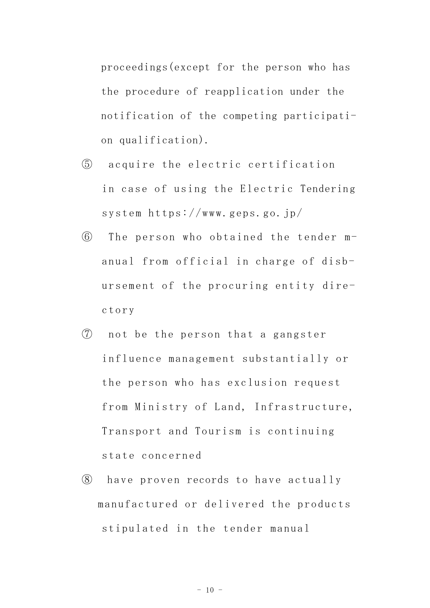proceedings(except for the person who has the procedure of reapplication under the notification of the competing participation qualification).

- ⑤ acquire the electric certification in case of using the Electric Tendering system https://www.geps.go.jp/
- ⑥ The person who obtained the tender manual from official in charge of disbursement of the procuring entity directory
- ⑦ not be the person that a gangster influence management substantially or the person who has exclusion request from Ministry of Land, Infrastructure, Transport and Tourism is continuing state concerned
- ⑧ have proven records to have actually manufactured or delivered the products stipulated in the tender manual